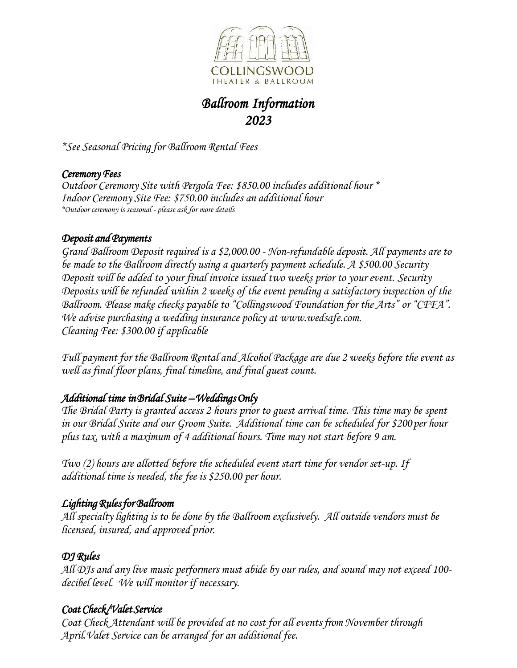

### *Ballroom Information 2023*

*\*See Seasonal Pricing for Ballroom Rental Fees*

### *Ceremony Fees*

*Outdoor Ceremony Site with Pergola Fee: \$850.00 includes additional hour \* Indoor Ceremony Site Fee: \$750.00 includes an additional hour \*Outdoor ceremony is seasonal - please ask for more details*

#### *Deposit and Payments*

*Grand Ballroom Deposit required is a \$2,000.00 - Non-refundable deposit. All payments are to be made to the Ballroom directly using a quarterly payment schedule. A \$500.00 Security Deposit will be added to your final invoice issued two weeks prior to your event. Security Deposits will be refunded within 2 weeks of the event pending a satisfactory inspection of the Ballroom. Please make checks payable to "Collingswood Foundation for the Arts" or "CFFA". We advise purchasing a wedding insurance policy at [www.wedsafe.com.](http://www.wedsafe.com/) Cleaning Fee: \$300.00 if applicable*

*Full payment for the Ballroom Rental and Alcohol Package are due 2 weeks before the event as well as final floor plans, final timeline, and final guest count.*

### *Additional time in Bridal Suite – Weddings Only*

*The Bridal Party is granted access 2 hours prior to guest arrival time. This time may be spent in our Bridal Suite and our Groom Suite. Additional time can be scheduled for \$200 per hour plus tax, with a maximum of 4 additional hours. Time may not start before 9 am.*

*Two (2) hours are allotted before the scheduled event start time for vendor set-up. If additional time is needed, the fee is \$250.00 per hour.*

### *Lighting Rules for Ballroom*

*All specialty lighting is to be done by the Ballroom exclusively. All outside vendors must be licensed, insured, and approved prior.*

### *DJ Rules*

*All DJs and any live music performers must abide by our rules, and sound may not exceed 100 decibel level. We will monitor if necessary.*

### *Coat Check/Valet Service*

*Coat Check Attendant will be provided at no cost for all events from November through April.Valet Service can be arranged for an additional fee.*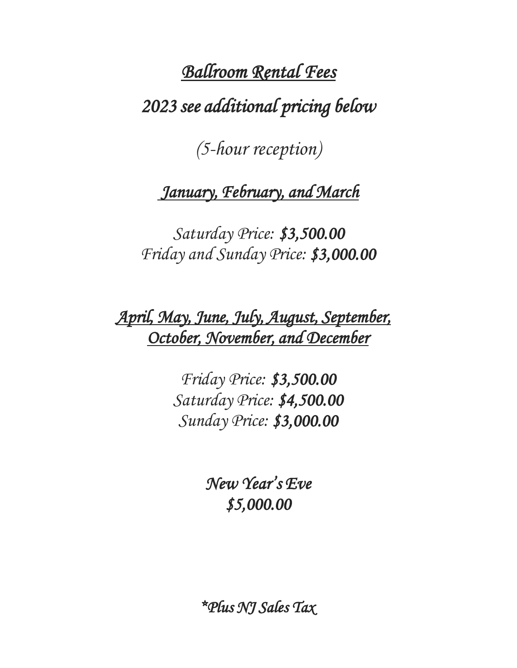# *Ballroom Rental Fees 2023 see additional pricing below*

*(5-hour reception)*

## *January, February, and March*

*Saturday Price: \$3,500.00 Friday and Sunday Price: \$3,000.00* 

*April, May, June, July, August, September, October, November, and December* 

> *Friday Price: \$3,500.00 Saturday Price: \$4,500.00 Sunday Price: \$3,000.00*

> > *New Year's Eve \$5,000.00*

*\*Plus NJ Sales Tax*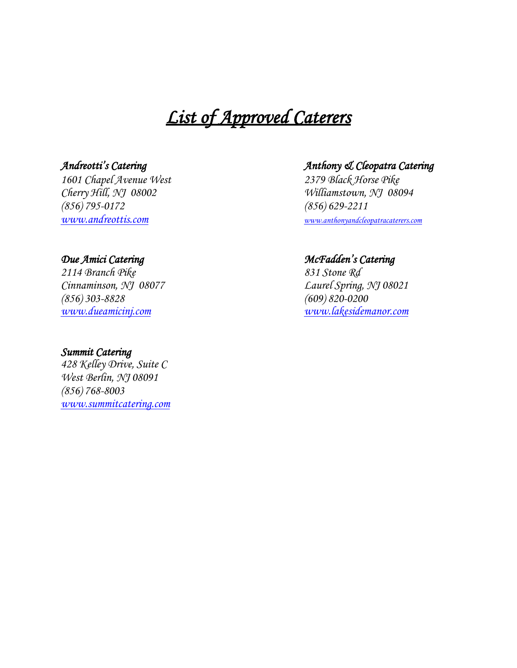### *List of Approved Caterers*

*Cherry Hill, NJ 08002 Williamstown, NJ 08094 (856) 795-0172 (856) 629-2211*

*2114 Branch Pike 831 Stone Rd (856) 303-8828 (609) 820-0200*

#### *Summit Catering*

*428 Kelley Drive, Suite C West Berlin, NJ 08091 (856) 768-8003 [www.summitcatering.com](http://www.summitcatering.com/)*

### *Andreotti's Catering Anthony & Cleopatra Catering*

*1601 Chapel Avenue West 2379 Black Horse Pike [www.andreottis.com](http://www.andreottis.com/) [www.anthonyandcleopatracaterers.com](http://www.anthonyandcleopatracaterers.com/)*

#### *Due Amici Catering McFadden's Catering*

*Cinnaminson, NJ 08077 Laurel Spring, NJ 08021 [www.dueamicinj.com](http://www.dueamicinj.com/) [www.lakesidemanor.com](http://www.lakesidemanor.com/)*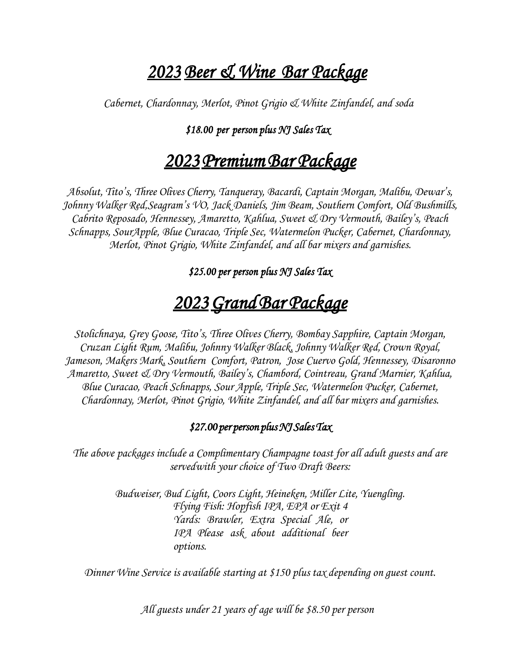### *2023 Beer & Wine Bar Package*

*Cabernet, Chardonnay, Merlot, Pinot Grigio & White Zinfandel, and soda*

### *\$18.00 per person plus NJ Sales Tax*

### *2023 Premium Bar Package*

*Absolut, Tito's, Three Olives Cherry, Tanqueray, Bacardi, Captain Morgan, Malibu, Dewar's, Johnny Walker Red,Seagram's VO, Jack Daniels, Jim Beam, Southern Comfort, Old Bushmills, Cabrito Reposado, Hennessey, Amaretto, Kahlua, Sweet & Dry Vermouth, Bailey's, Peach Schnapps, SourApple, Blue Curacao, Triple Sec, Watermelon Pucker, Cabernet, Chardonnay, Merlot, Pinot Grigio, White Zinfandel, and all bar mixers and garnishes.*

*\$25.00 per person plus NJ Sales Tax* 

### *2023 Grand Bar Package*

*Stolichnaya, Grey Goose, Tito's, Three Olives Cherry, Bombay Sapphire, Captain Morgan, Cruzan Light Rum, Malibu, Johnny Walker Black, Johnny Walker Red, Crown Royal, Jameson, Makers Mark, Southern Comfort, Patron, Jose Cuervo Gold, Hennessey, Disaronno Amaretto, Sweet & Dry Vermouth, Bailey's, Chambord, Cointreau, Grand Marnier, Kahlua, Blue Curacao, Peach Schnapps, Sour Apple, Triple Sec, Watermelon Pucker, Cabernet, Chardonnay, Merlot, Pinot Grigio, White Zinfandel, and all bar mixers and garnishes.*

### *\$27.00 per person plus NJ Sales Tax*

*The above packages include a Complimentary Champagne toast for all adult guests and are servedwith your choice of Two Draft Beers:*

> *Budweiser, Bud Light, Coors Light, Heineken, Miller Lite, Yuengling. Flying Fish: Hopfish IPA, EPA or Exit 4 Yards: Brawler, Extra Special Ale, or IPA Please ask about additional beer options.*

*Dinner Wine Service is available starting at \$150 plus tax depending on guest count.*

*All guests under 21 years of age will be \$8.50 per person*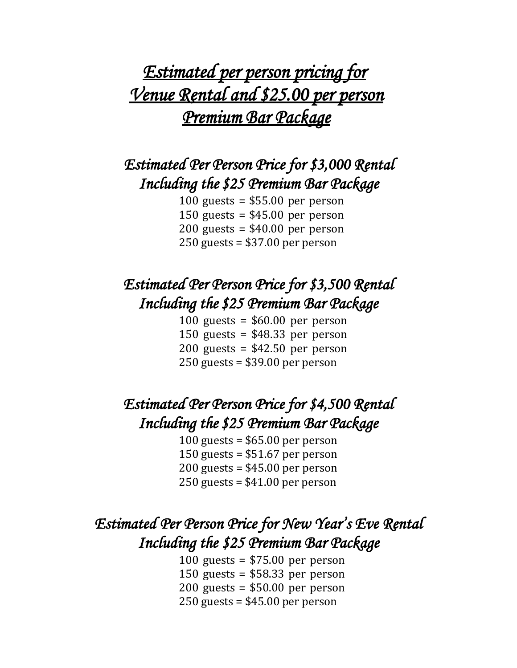## *Estimated per person pricing for Venue Rental and \$25.00 per person Premium Bar Package*

### *Estimated Per Person Price for \$3,000 Rental Including the \$25 Premium Bar Package*

100 guests = \$55.00 per person 150 guests = \$45.00 per person 200 guests = \$40.00 per person 250 guests = \$37.00 per person

### *Estimated Per Person Price for \$3,500 Rental Including the \$25 Premium Bar Package*

100 guests =  $$60.00$  per person 150 guests = \$48.33 per person 200 guests =  $$42.50$  per person 250 guests = \$39.00 per person

### *Estimated Per Person Price for \$4,500 Rental Including the \$25 Premium Bar Package*

100 guests = \$65.00 per person 150 guests = \$51.67 per person 200 guests = \$45.00 per person 250 guests = \$41.00 per person

### *Estimated Per Person Price for New Year's Eve Rental Including the \$25 Premium Bar Package*

100 guests =  $$75.00$  per person 150 guests = \$58.33 per person 200 guests = \$50.00 per person 250 guests = \$45.00 per person